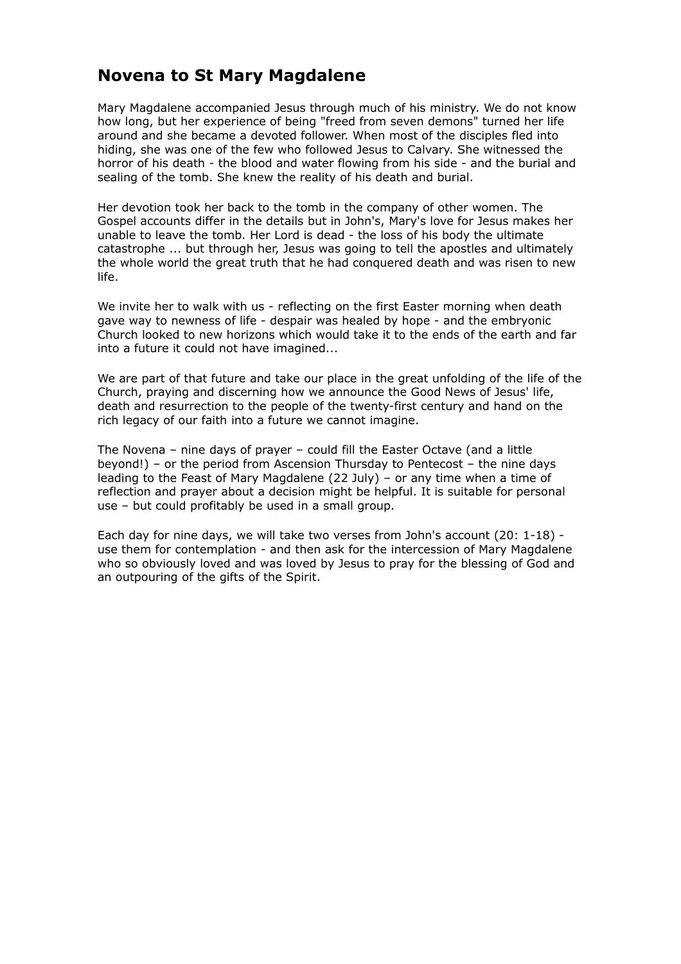# **Novena to St Mary Magdalene**

Mary Magdalene accompanied Jesus through much of his ministry. We do not know how long, but her experience of being "freed from seven demons" turned her life around and she became a devoted follower. When most of the disciples fled into hiding, she was one of the few who followed Jesus to Calvary. She witnessed the horror of his death - the blood and water flowing from his side - and the burial and sealing of the tomb. She knew the reality of his death and burial.

Her devotion took her back to the tomb in the company of other women. The Gospel accounts differ in the details but in John's, Mary's love for Jesus makes her unable to leave the tomb. Her Lord is dead - the loss of his body the ultimate catastrophe ... but through her, Jesus was going to tell the apostles and ultimately the whole world the great truth that he had conquered death and was risen to new life.

We invite her to walk with us - reflecting on the first Easter morning when death gave way to newness of life - despair was healed by hope - and the embryonic Church looked to new horizons which would take it to the ends of the earth and far into a future it could not have imagined...

We are part of that future and take our place in the great unfolding of the life of the Church, praying and discerning how we announce the Good News of Jesus' life, death and resurrection to the people of the twenty-first century and hand on the rich legacy of our faith into a future we cannot imagine.

The Novena – nine days of prayer – could fill the Easter Octave (and a little beyond!) – or the period from Ascension Thursday to Pentecost – the nine days leading to the Feast of Mary Magdalene (22 July) – or any time when a time of reflection and prayer about a decision might be helpful. It is suitable for personal use – but could profitably be used in a small group.

Each day for nine days, we will take two verses from John's account (20: 1-18) use them for contemplation - and then ask for the intercession of Mary Magdalene who so obviously loved and was loved by Jesus to pray for the blessing of God and an outpouring of the gifts of the Spirit.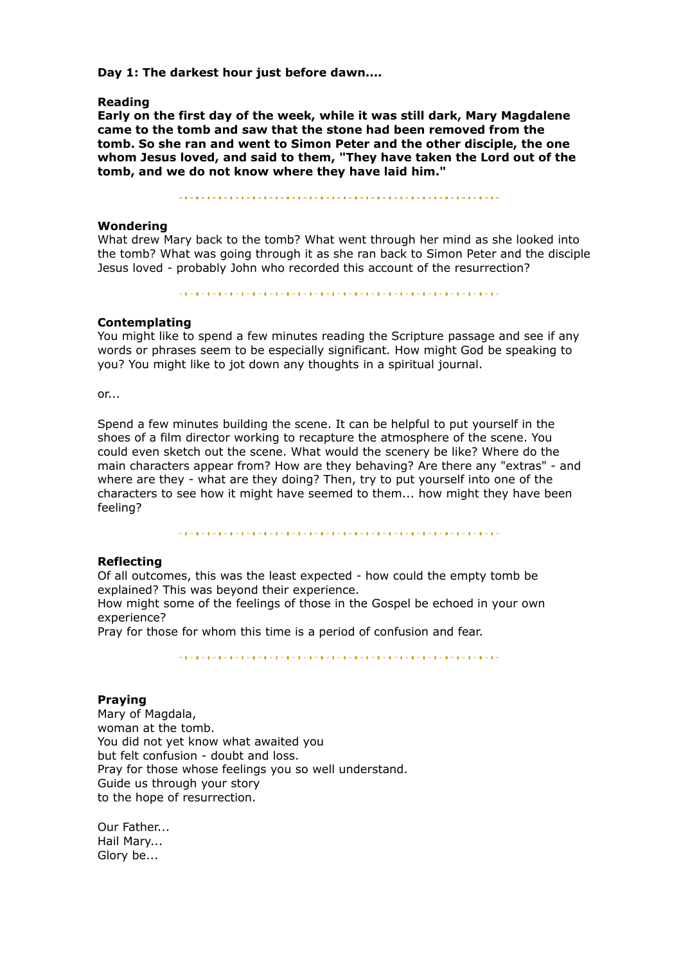**Day 1: The darkest hour just before dawn....**

#### **Reading**

**Early on the first day of the week, while it was still dark, Mary Magdalene came to the tomb and saw that the stone had been removed from the tomb. So she ran and went to Simon Peter and the other disciple, the one whom Jesus loved, and said to them, "They have taken the Lord out of the tomb, and we do not know where they have laid him."**

#### **Wondering**

What drew Mary back to the tomb? What went through her mind as she looked into the tomb? What was going through it as she ran back to Simon Peter and the disciple Jesus loved - probably John who recorded this account of the resurrection?

## **Contemplating**

You might like to spend a few minutes reading the Scripture passage and see if any words or phrases seem to be especially significant. How might God be speaking to you? You might like to jot down any thoughts in a spiritual journal.

or...

Spend a few minutes building the scene. It can be helpful to put yourself in the shoes of a film director working to recapture the atmosphere of the scene. You could even sketch out the scene. What would the scenery be like? Where do the main characters appear from? How are they behaving? Are there any "extras" - and where are they - what are they doing? Then, try to put yourself into one of the characters to see how it might have seemed to them... how might they have been feeling?

 $\label{eq:R1} \begin{minipage}[t]{0.9\textwidth} \begin{minipage}[t]{0.9\textwidth} \begin{minipage}[t]{0.9\textwidth} \begin{minipage}[t]{0.9\textwidth} \begin{minipage}[t]{0.9\textwidth} \begin{minipage}[t]{0.9\textwidth} \begin{minipage}[t]{0.9\textwidth} \begin{minipage}[t]{0.9\textwidth} \begin{minipage}[t]{0.9\textwidth} \begin{minipage}[t]{0.9\textwidth} \begin{minipage}[t]{0.9\textwidth} \begin{minipage}[t]{0.9\textwidth} \begin{minipage}[t]{0.9\textwidth} \begin{min$ 

#### **Reflecting**

Of all outcomes, this was the least expected - how could the empty tomb be explained? This was beyond their experience.

How might some of the feelings of those in the Gospel be echoed in your own experience?

Pray for those for whom this time is a period of confusion and fear.

#### **Praying**

Mary of Magdala, woman at the tomb. You did not yet know what awaited you but felt confusion - doubt and loss. Pray for those whose feelings you so well understand. Guide us through your story to the hope of resurrection.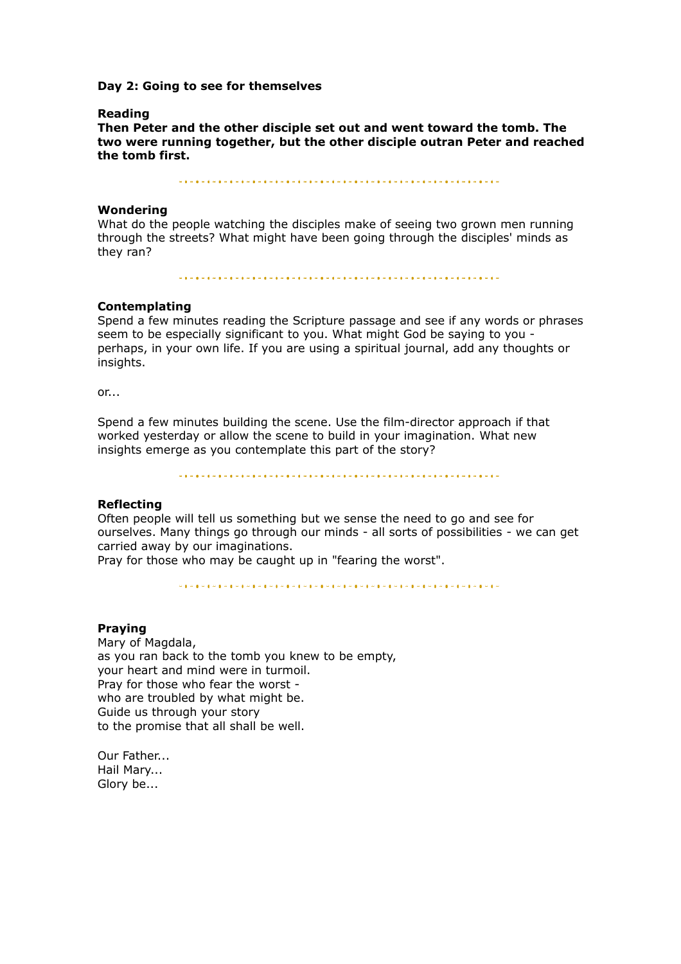#### **Day 2: Going to see for themselves**

#### **Reading**

**Then Peter and the other disciple set out and went toward the tomb. The two were running together, but the other disciple outran Peter and reached the tomb first.**

#### **Wondering**

What do the people watching the disciples make of seeing two grown men running through the streets? What might have been going through the disciples' minds as they ran?

#### **Contemplating**

Spend a few minutes reading the Scripture passage and see if any words or phrases seem to be especially significant to you. What might God be saying to you perhaps, in your own life. If you are using a spiritual journal, add any thoughts or insights.

or...

Spend a few minutes building the scene. Use the film-director approach if that worked yesterday or allow the scene to build in your imagination. What new insights emerge as you contemplate this part of the story?

#### **Reflecting**

Often people will tell us something but we sense the need to go and see for ourselves. Many things go through our minds - all sorts of possibilities - we can get carried away by our imaginations.

Pray for those who may be caught up in "fearing the worst".

#### **Praying**

Mary of Magdala, as you ran back to the tomb you knew to be empty, your heart and mind were in turmoil. Pray for those who fear the worst who are troubled by what might be. Guide us through your story to the promise that all shall be well.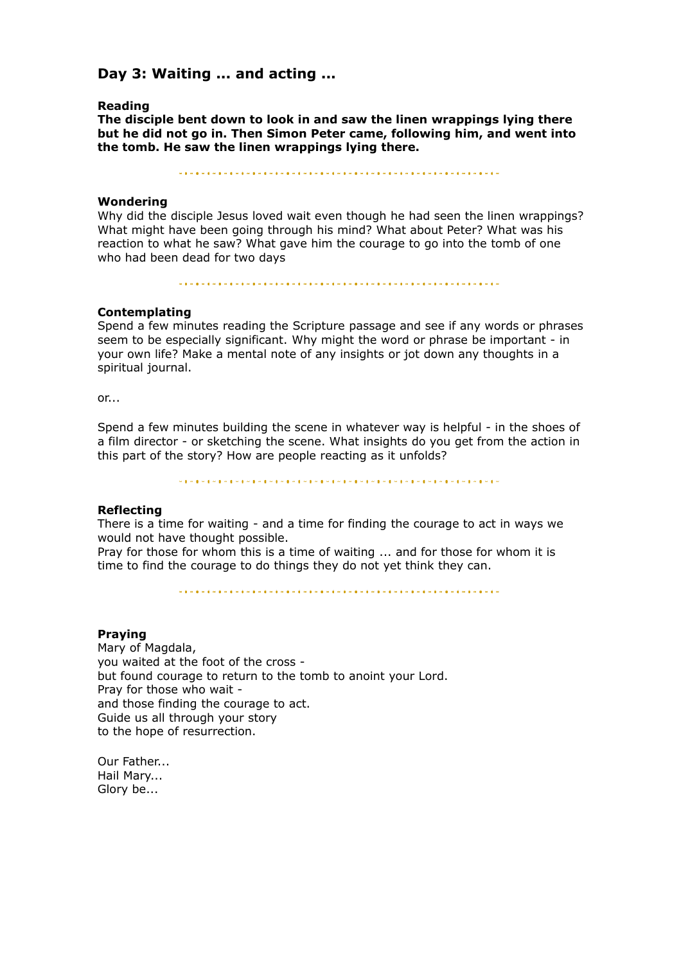## **Day 3: Waiting ... and acting ...**

#### **Reading**

**The disciple bent down to look in and saw the linen wrappings lying there but he did not go in. Then Simon Peter came, following him, and went into the tomb. He saw the linen wrappings lying there.**

#### **Wondering**

Why did the disciple Jesus loved wait even though he had seen the linen wrappings? What might have been going through his mind? What about Peter? What was his reaction to what he saw? What gave him the courage to go into the tomb of one who had been dead for two days

#### **Contemplating**

Spend a few minutes reading the Scripture passage and see if any words or phrases seem to be especially significant. Why might the word or phrase be important - in your own life? Make a mental note of any insights or jot down any thoughts in a spiritual journal.

or...

Spend a few minutes building the scene in whatever way is helpful - in the shoes of a film director - or sketching the scene. What insights do you get from the action in this part of the story? How are people reacting as it unfolds?

#### **Reflecting**

There is a time for waiting - and a time for finding the courage to act in ways we would not have thought possible.

Pray for those for whom this is a time of waiting ... and for those for whom it is time to find the courage to do things they do not yet think they can.

### **Praying**

Mary of Magdala, you waited at the foot of the cross but found courage to return to the tomb to anoint your Lord. Pray for those who wait and those finding the courage to act. Guide us all through your story to the hope of resurrection.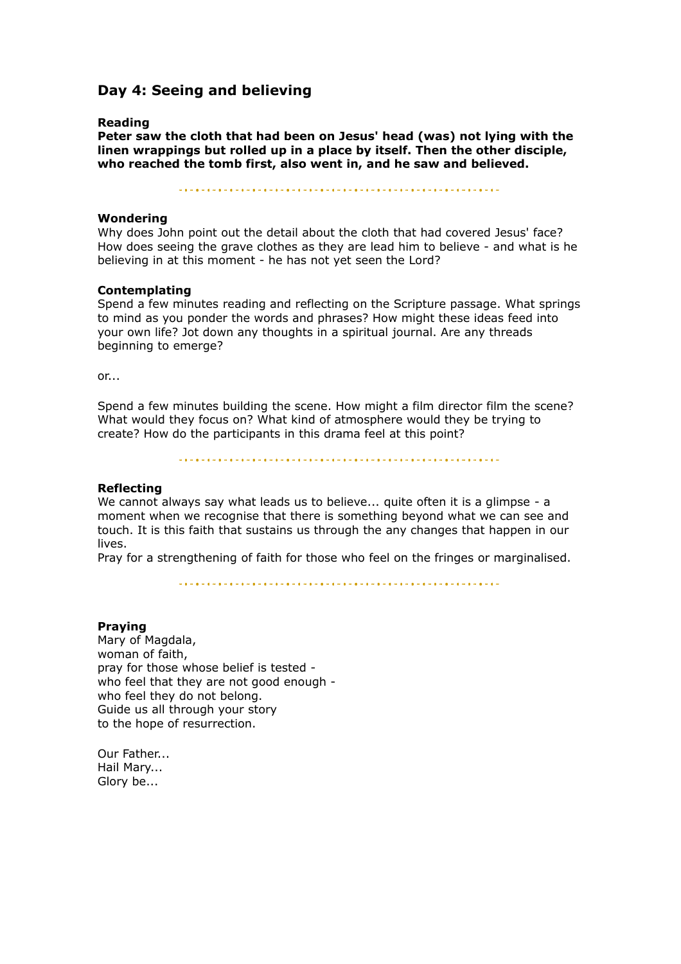## **Day 4: Seeing and believing**

### **Reading**

**Peter saw the cloth that had been on Jesus' head (was) not lying with the linen wrappings but rolled up in a place by itself. Then the other disciple, who reached the tomb first, also went in, and he saw and believed.**

## **Wondering**

Why does John point out the detail about the cloth that had covered Jesus' face? How does seeing the grave clothes as they are lead him to believe - and what is he believing in at this moment - he has not yet seen the Lord?

### **Contemplating**

Spend a few minutes reading and reflecting on the Scripture passage. What springs to mind as you ponder the words and phrases? How might these ideas feed into your own life? Jot down any thoughts in a spiritual journal. Are any threads beginning to emerge?

or...

Spend a few minutes building the scene. How might a film director film the scene? What would they focus on? What kind of atmosphere would they be trying to create? How do the participants in this drama feel at this point?

## **Reflecting**

We cannot always say what leads us to believe... quite often it is a glimpse - a moment when we recognise that there is something beyond what we can see and touch. It is this faith that sustains us through the any changes that happen in our lives.

Pray for a strengthening of faith for those who feel on the fringes or marginalised.

"我说我的是我的时候我的是我的我的,我们也就是我的,我们也就是我的我的,我们也会不是我的我的,我们也会不能会不能不能。"

#### **Praying**

Mary of Magdala, woman of faith, pray for those whose belief is tested who feel that they are not good enough who feel they do not belong. Guide us all through your story to the hope of resurrection.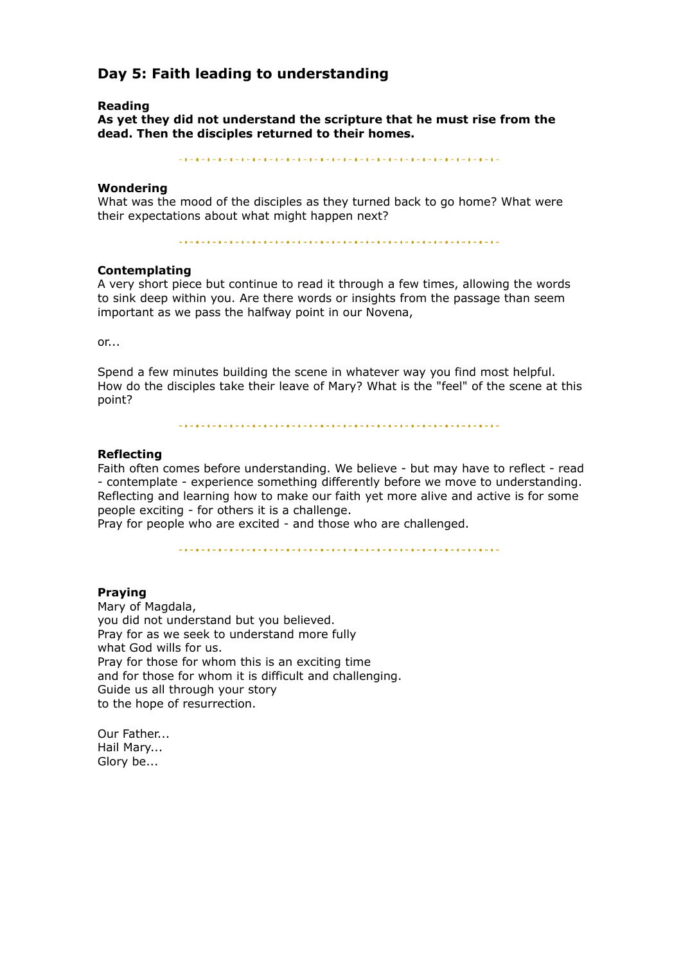## **Day 5: Faith leading to understanding**

#### **Reading**

**As yet they did not understand the scripture that he must rise from the dead. Then the disciples returned to their homes.**

#### **Wondering**

What was the mood of the disciples as they turned back to go home? What were their expectations about what might happen next?

### **Contemplating**

A very short piece but continue to read it through a few times, allowing the words to sink deep within you. Are there words or insights from the passage than seem important as we pass the halfway point in our Novena,

 $or...$ 

Spend a few minutes building the scene in whatever way you find most helpful. How do the disciples take their leave of Mary? What is the "feel" of the scene at this point?

#### **Reflecting**

Faith often comes before understanding. We believe - but may have to reflect - read - contemplate - experience something differently before we move to understanding. Reflecting and learning how to make our faith yet more alive and active is for some people exciting - for others it is a challenge.

Pray for people who are excited - and those who are challenged.

#### **Praying**

Mary of Magdala, you did not understand but you believed. Pray for as we seek to understand more fully what God wills for us. Pray for those for whom this is an exciting time and for those for whom it is difficult and challenging. Guide us all through your story to the hope of resurrection.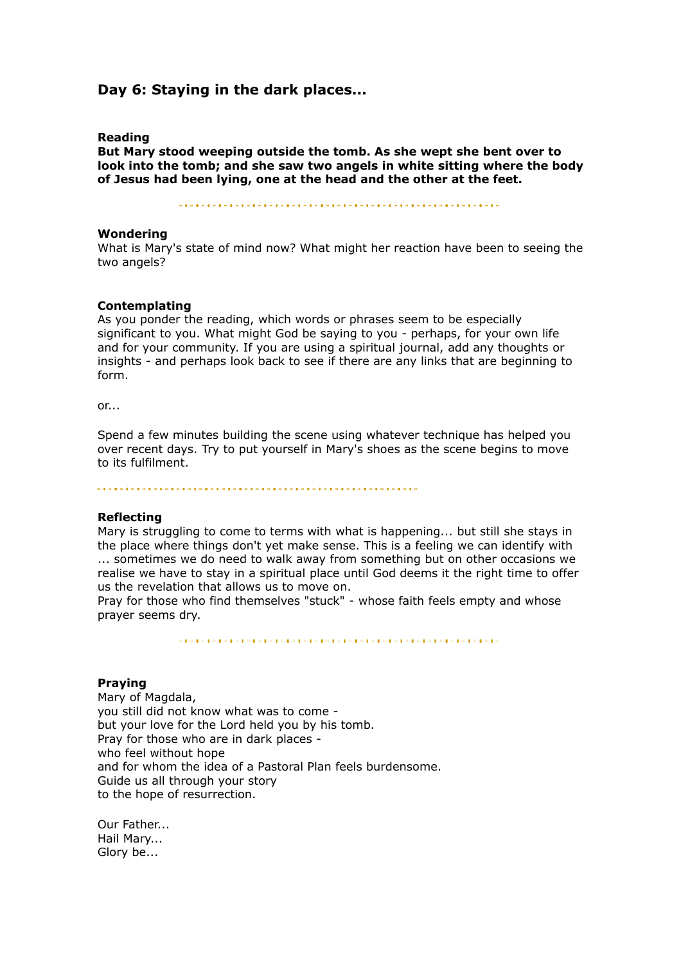## **Day 6: Staying in the dark places...**

#### **Reading**

**But Mary stood weeping outside the tomb. As she wept she bent over to look into the tomb; and she saw two angels in white sitting where the body of Jesus had been lying, one at the head and the other at the feet.**

#### **Wondering**

What is Mary's state of mind now? What might her reaction have been to seeing the two angels?

#### **Contemplating**

As you ponder the reading, which words or phrases seem to be especially significant to you. What might God be saying to you - perhaps, for your own life and for your community. If you are using a spiritual journal, add any thoughts or insights - and perhaps look back to see if there are any links that are beginning to form.

or...

Spend a few minutes building the scene using whatever technique has helped you over recent days. Try to put yourself in Mary's shoes as the scene begins to move to its fulfilment.

#### **Reflecting**

Mary is struggling to come to terms with what is happening... but still she stays in the place where things don't yet make sense. This is a feeling we can identify with ... sometimes we do need to walk away from something but on other occasions we realise we have to stay in a spiritual place until God deems it the right time to offer us the revelation that allows us to move on.

Pray for those who find themselves "stuck" - whose faith feels empty and whose prayer seems dry.

#### **Praying**

Mary of Magdala, you still did not know what was to come but your love for the Lord held you by his tomb. Pray for those who are in dark places who feel without hope and for whom the idea of a Pastoral Plan feels burdensome. Guide us all through your story to the hope of resurrection.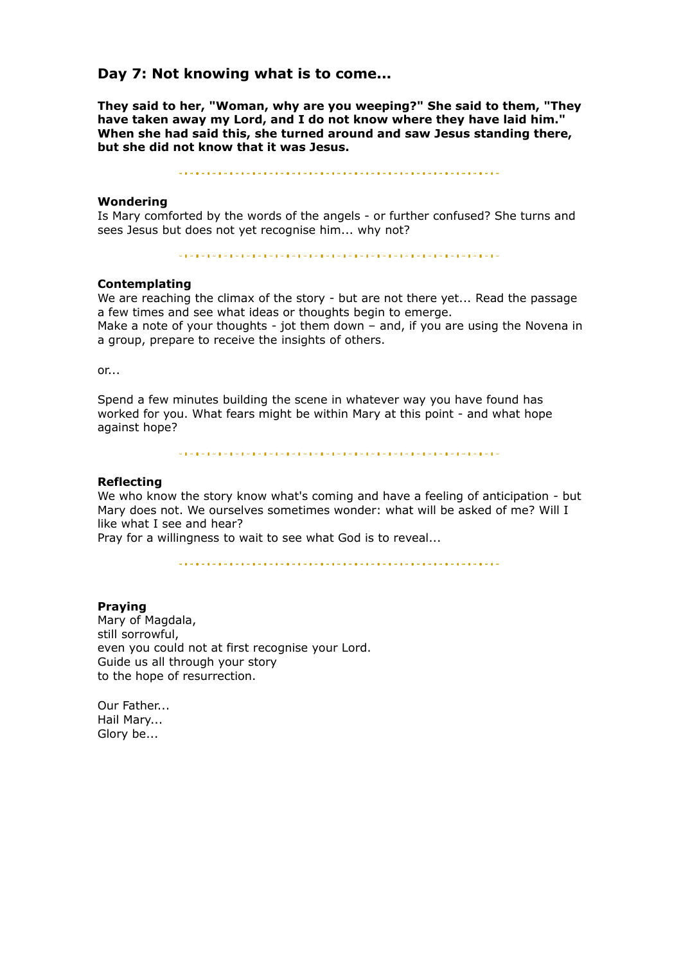## **Day 7: Not knowing what is to come...**

**They said to her, "Woman, why are you weeping?" She said to them, "They have taken away my Lord, and I do not know where they have laid him." When she had said this, she turned around and saw Jesus standing there, but she did not know that it was Jesus.**

#### **Wondering**

Is Mary comforted by the words of the angels - or further confused? She turns and sees Jesus but does not yet recognise him... why not?

#### **Contemplating**

We are reaching the climax of the story - but are not there yet... Read the passage a few times and see what ideas or thoughts begin to emerge.

Make a note of your thoughts - jot them down - and, if you are using the Novena in a group, prepare to receive the insights of others.

or...

Spend a few minutes building the scene in whatever way you have found has worked for you. What fears might be within Mary at this point - and what hope against hope?

 $\label{eq:2.1} \begin{array}{l} \left. \hspace{0.08cm} \cdots \hspace{0.08cm} \bullet \hspace{0.08cm} \bullet \hspace{0.08cm} \bullet \hspace{0.08cm} \bullet \hspace{0.08cm} \bullet \hspace{0.08cm} \bullet \hspace{0.08cm} \bullet \hspace{0.08cm} \bullet \hspace{0.08cm} \bullet \hspace{0.08cm} \bullet \hspace{0.08cm} \bullet \hspace{0.08cm} \bullet \hspace{0.08cm} \bullet \hspace{0.08cm} \bullet \hspace{0.08cm} \bullet \hspace{0.08$ 

#### **Reflecting**

We who know the story know what's coming and have a feeling of anticipation - but Mary does not. We ourselves sometimes wonder: what will be asked of me? Will I like what I see and hear?

Pray for a willingness to wait to see what God is to reveal...

#### **Praying**

Mary of Magdala, still sorrowful, even you could not at first recognise your Lord. Guide us all through your story to the hope of resurrection.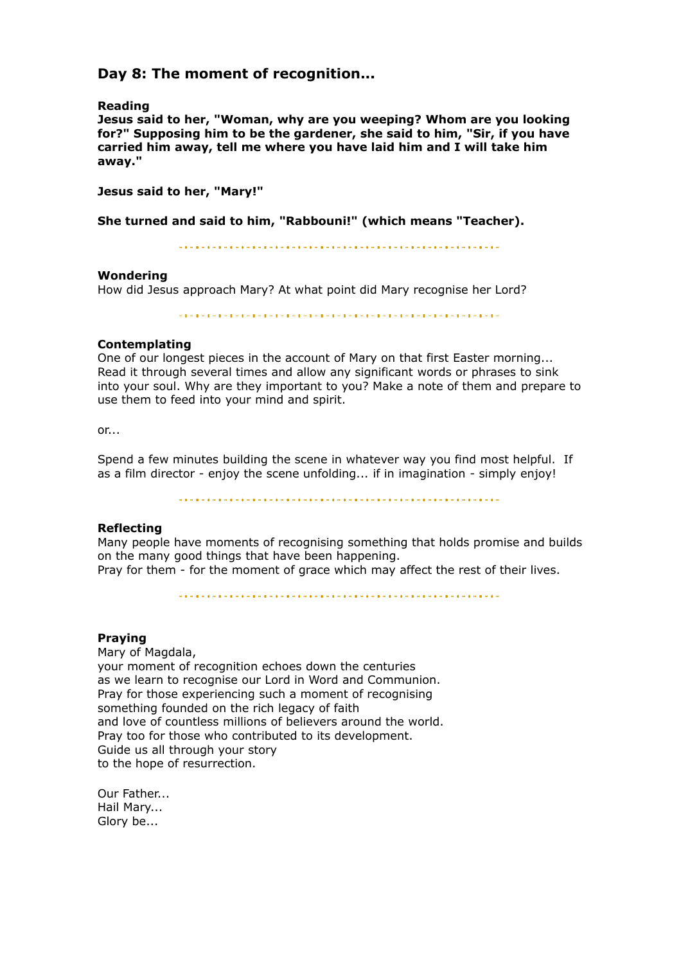## **Day 8: The moment of recognition...**

#### **Reading**

**Jesus said to her, "Woman, why are you weeping? Whom are you looking for?" Supposing him to be the gardener, she said to him, "Sir, if you have carried him away, tell me where you have laid him and I will take him away."**

**Jesus said to her, "Mary!"**

**She turned and said to him, "Rabbouni!" (which means "Teacher).**

#### **Wondering**

How did Jesus approach Mary? At what point did Mary recognise her Lord?

.<br>La provincia de la maria de la maria de la maria de la maria de la maria de la maria de la maria de

### **Contemplating**

One of our longest pieces in the account of Mary on that first Easter morning... Read it through several times and allow any significant words or phrases to sink into your soul. Why are they important to you? Make a note of them and prepare to use them to feed into your mind and spirit.

or...

Spend a few minutes building the scene in whatever way you find most helpful. If as a film director - enjoy the scene unfolding... if in imagination - simply enjoy!

#### **Reflecting**

Many people have moments of recognising something that holds promise and builds on the many good things that have been happening. Pray for them - for the moment of grace which may affect the rest of their lives.

#### **Praying**

Mary of Magdala, your moment of recognition echoes down the centuries as we learn to recognise our Lord in Word and Communion. Pray for those experiencing such a moment of recognising something founded on the rich legacy of faith and love of countless millions of believers around the world. Pray too for those who contributed to its development. Guide us all through your story to the hope of resurrection.